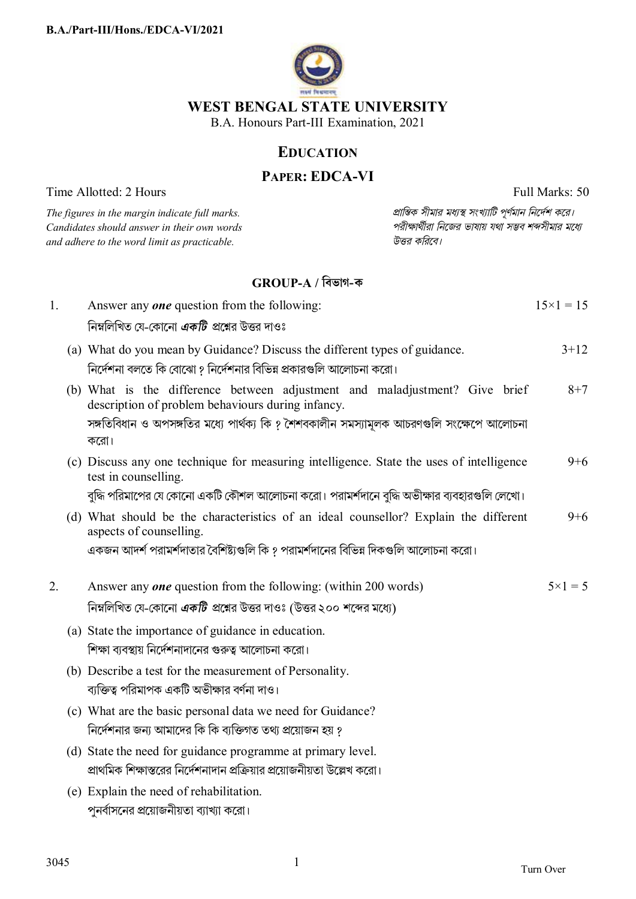

### **EDUCATION**

## **PAPER: EDCA-VI**

Time Allotted: 2 Hours Full Marks: 50

 $C$ *andidates should answer in their own words and adhere to the word limit as practicable. উtর কিরেব।*

*The figures in the margin indicate full marks. pািnক সীমার মধ°s সংখ°ািট পূণমান িনেদশ কের।*

## **GROUP-A / িবভাগ-ক**

| 1. | Answer any <b>one</b> question from the following:                                                                                                                                                                                    | $15 \times 1 = 15$ |
|----|---------------------------------------------------------------------------------------------------------------------------------------------------------------------------------------------------------------------------------------|--------------------|
|    | নিম্নলিখিত যে-কোনো <i>একটি প্র</i> শ্নের উত্তর দাওঃ                                                                                                                                                                                   |                    |
|    | (a) What do you mean by Guidance? Discuss the different types of guidance.<br>নির্দেশনা বলতে কি বোঝো ? নির্দেশনার বিভিন্ন প্রকারগুলি আলোচনা করো।                                                                                      | $3 + 12$           |
|    | (b) What is the difference between adjustment and maladjustment? Give brief<br>description of problem behaviours during infancy.<br>সঙ্গতিবিধান ও অপসঙ্গতির মধ্যে পার্থক্য কি ? শৈশবকালীন সমস্যামূলক আচরণগুলি সংক্ষেপে আলোচনা<br>করো। | $8 + 7$            |
|    | (c) Discuss any one technique for measuring intelligence. State the uses of intelligence<br>test in counselling.<br>বুদ্ধি পরিমাপের যে কোনো একটি কৌশল আলোচনা করো। পরামর্শদানে বুদ্ধি অভীক্ষার ব্যবহারগুলি লেখো।                       | $9 + 6$            |
|    | (d) What should be the characteristics of an ideal counsellor? Explain the different<br>aspects of counselling.<br>একজন আদর্শ পরামর্শদাতার বৈশিষ্ট্যগুলি কি ? পরামর্শদানের বিভিন্ন দিকগুলি আলোচনা করো।                                | $9 + 6$            |
| 2. | Answer any <i>one</i> question from the following: (within 200 words)<br>নিম্নলিখিত যে-কোনো <i>একটি প্র</i> শ্নের উত্তর দাওঃ (উত্তর ২০০ শব্দের মধ্যে)                                                                                 | $5 \times 1 = 5$   |
|    | (a) State the importance of guidance in education.<br>শিক্ষা ব্যবস্থায় নির্দেশনাদানের গুরুত্ব আলোচনা করো।                                                                                                                            |                    |
|    | (b) Describe a test for the measurement of Personality.<br>ব্যক্তিত্ব পরিমাপক একটি অভীক্ষার বর্ণনা দাও।                                                                                                                               |                    |
|    | (c) What are the basic personal data we need for Guidance?<br>নির্দেশনার জন্য আমাদের কি কি ব্যক্তিগত তথ্য প্রয়োজন হয় ?                                                                                                              |                    |
|    | (d) State the need for guidance programme at primary level.<br>প্রাথমিক শিক্ষাস্তরের নির্দেশনাদান প্রক্রিয়ার প্রয়োজনীয়তা উল্লেখ করো।                                                                                               |                    |
|    | (e) Explain the need of rehabilitation.<br>পুনর্বাসনের প্রয়োজনীয়তা ব্যাখ্যা করো।                                                                                                                                                    |                    |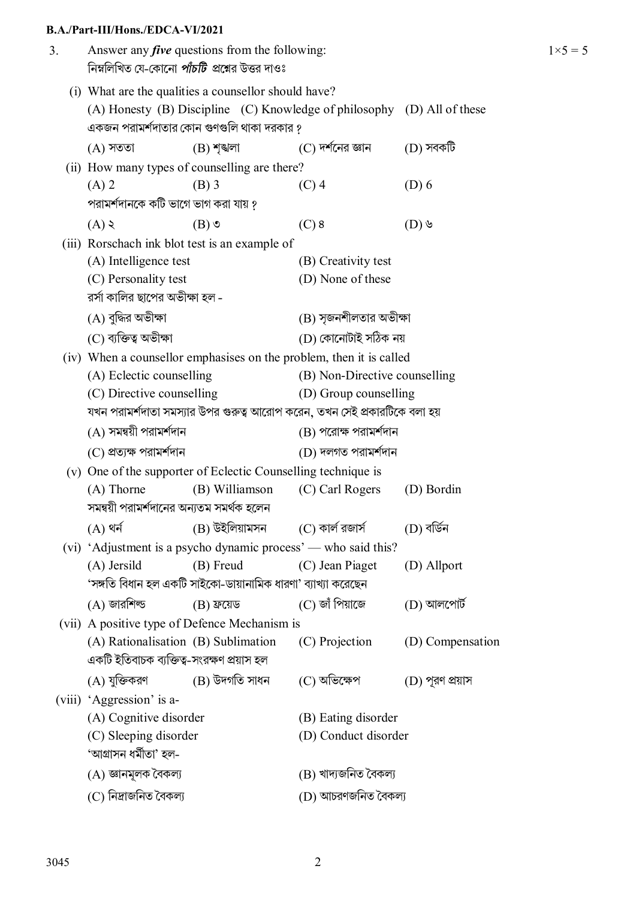#### **B.A./Part-III/Hons./EDCA-VI/2021**

| 3. | Answer any <i>five</i> questions from the following:<br>নিম্নলিখিত যে-কোনো <i>পাঁচটি প্র</i> শ্নের উত্তর দাওঃ |                                                                                                    |                                                                           |                  |  |  |
|----|---------------------------------------------------------------------------------------------------------------|----------------------------------------------------------------------------------------------------|---------------------------------------------------------------------------|------------------|--|--|
|    |                                                                                                               | (i) What are the qualities a counsellor should have?<br>একজন পরামর্শদাতার কোন গুণগুলি থাকা দরকার ? | (A) Honesty (B) Discipline (C) Knowledge of philosophy (D) All of these   |                  |  |  |
|    | $(A)$ সততা                                                                                                    | $(B)$ শৃত্মলা                                                                                      | $(C)$ দর্শনের জ্ঞান                                                       | $(D)$ সবকটি      |  |  |
|    |                                                                                                               | (ii) How many types of counselling are there?                                                      |                                                                           |                  |  |  |
|    | $(A)$ 2                                                                                                       | $(B)$ 3                                                                                            | $(C)$ 4                                                                   | $(D)$ 6          |  |  |
|    | পরামর্শদানকে কটি ভাগে ভাগ করা যায় ?                                                                          |                                                                                                    |                                                                           |                  |  |  |
|    | (A)                                                                                                           | $(B)$ $\circ$                                                                                      | $(C)$ 8                                                                   | $(D)$ ৬          |  |  |
|    |                                                                                                               | (iii) Rorschach ink blot test is an example of                                                     |                                                                           |                  |  |  |
|    | (A) Intelligence test                                                                                         |                                                                                                    | (B) Creativity test                                                       |                  |  |  |
|    | (C) Personality test                                                                                          |                                                                                                    | (D) None of these                                                         |                  |  |  |
|    | রর্সা কালির ছাপের অভীক্ষা হল -                                                                                |                                                                                                    |                                                                           |                  |  |  |
|    | (A) বুদ্ধির অভীক্ষা                                                                                           |                                                                                                    | (B) সৃজনশীলতার অভীক্ষা                                                    |                  |  |  |
|    | (C) ব্যক্তিত্ব অভীক্ষা                                                                                        |                                                                                                    | (D) কোনোটাই সঠিক নয়                                                      |                  |  |  |
|    | (iv) When a counsellor emphasises on the problem, then it is called                                           |                                                                                                    |                                                                           |                  |  |  |
|    | (A) Eclectic counselling<br>(B) Non-Directive counselling                                                     |                                                                                                    |                                                                           |                  |  |  |
|    | (C) Directive counselling<br>(D) Group counselling                                                            |                                                                                                    |                                                                           |                  |  |  |
|    |                                                                                                               |                                                                                                    | যখন পরামর্শদাতা সমস্যার উপর গুরুত্ব আরোপ করেন, তখন সেই প্রকারটিকে বলা হয় |                  |  |  |
|    | $(A)$ সমন্বয়ী পরামর্শদান                                                                                     |                                                                                                    | $(B)$ পরোক্ষ পরামর্শদান                                                   |                  |  |  |
|    | (C) প্ৰত্যক্ষ পরামর্শদান                                                                                      |                                                                                                    | (D) দলগত পরামর্শদান                                                       |                  |  |  |
|    | (v) One of the supporter of Eclectic Counselling technique is                                                 |                                                                                                    |                                                                           |                  |  |  |
|    | $(A)$ Thorne                                                                                                  | (B) Williamson                                                                                     | (C) Carl Rogers                                                           | (D) Bordin       |  |  |
|    | সমন্বয়ী পরামর্শদানের অন্যতম সমর্থক হলেন                                                                      |                                                                                                    |                                                                           |                  |  |  |
|    | $(A)$ থৰ্ন                                                                                                    | (B) উইলিয়ামসন (C) কাৰ্ল রজার্স                                                                    |                                                                           | (D) বৰ্ডিন       |  |  |
|    |                                                                                                               | (vi) 'Adjustment is a psycho dynamic process' — who said this?                                     |                                                                           |                  |  |  |
|    | (A) Jersild                                                                                                   | (B) Freud                                                                                          | (C) Jean Piaget                                                           | (D) Allport      |  |  |
|    | 'সঙ্গতি বিধান হল একটি সাইকো-ডায়ানামিক ধারণা' ব্যাখ্যা করেছেন                                                 |                                                                                                    |                                                                           |                  |  |  |
|    | $(A)$ জারশিল্ড                                                                                                | $(B)$ ফ্রয়েড                                                                                      | (C) জাঁ পিয়াজে                                                           | $(D)$ আলপোর্ট    |  |  |
|    | (vii) A positive type of Defence Mechanism is                                                                 |                                                                                                    |                                                                           |                  |  |  |
|    | (A) Rationalisation (B) Sublimation                                                                           |                                                                                                    | (C) Projection                                                            | (D) Compensation |  |  |
|    | একটি ইতিবাচক ব্যক্তিত্ব-সংরক্ষণ প্রয়াস হল                                                                    |                                                                                                    |                                                                           |                  |  |  |
|    | (A) যুক্তিকরণ                                                                                                 | (B) উদগতি সাধন                                                                                     | $(C)$ অভিক্ষেপ                                                            | (D) পূরণ প্রয়াস |  |  |
|    | (viii) 'Aggression' is a-                                                                                     |                                                                                                    |                                                                           |                  |  |  |
|    | (A) Cognitive disorder                                                                                        |                                                                                                    | (B) Eating disorder                                                       |                  |  |  |
|    | (C) Sleeping disorder                                                                                         |                                                                                                    | (D) Conduct disorder                                                      |                  |  |  |
|    | 'আগ্ৰাসন ধৰ্মীতা' হল-                                                                                         |                                                                                                    |                                                                           |                  |  |  |
|    | (A) জ্ঞানমূলক বৈকল্য                                                                                          |                                                                                                    | (B) খাদ্যজনিত বৈকল্য                                                      |                  |  |  |
|    | (C) নিদ্ৰাজনিত বৈকল্য                                                                                         |                                                                                                    | (D) আচরণজনিত বৈকল্য                                                       |                  |  |  |

 $1 \times 5 = 5$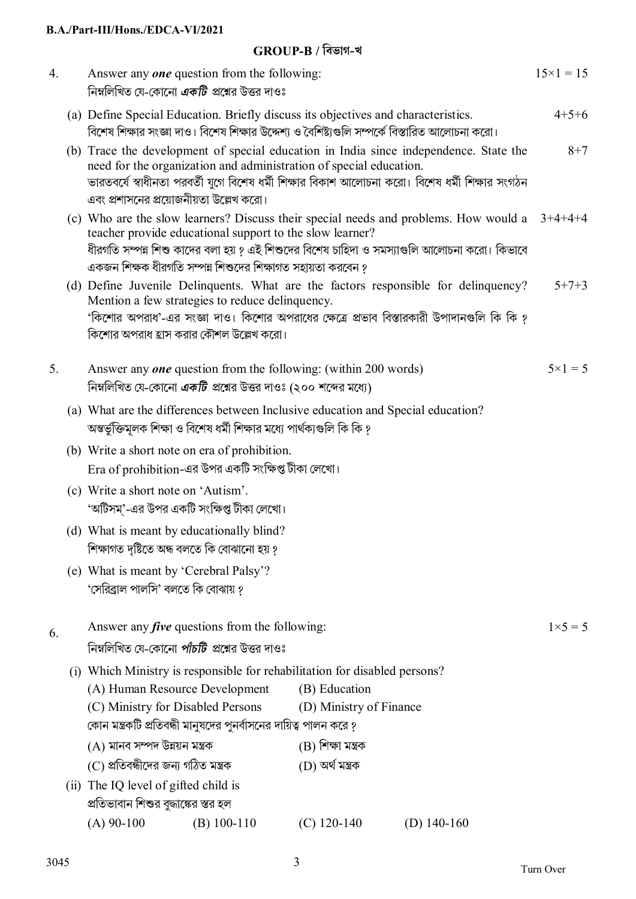#### **B.A./Part-III/Hons./EDCA-VI/2021**

# **GROUP-B / িবভাগ-খ**

| (a) Define Special Education. Briefly discuss its objectives and characteristics.<br>বিশেষ শিক্ষার সংজ্ঞা দাও। বিশেষ শিক্ষার উদ্দেশ্য ও বৈশিষ্ট্যগুলি সম্পর্কে বিস্তারিত আলোচনা করো।<br>(b) Trace the development of special education in India since independence. State the<br>need for the organization and administration of special education.<br>ভারতবর্ষে স্বাধীনতা পরবর্তী যুগে বিশেষ ধর্মী শিক্ষার বিকাশ আলোচনা করো। বিশেষ ধর্মী শিক্ষার সংগঠন<br>এবং প্রশাসনের প্রয়োজনীয়তা উল্লেখ করো।<br>(c) Who are the slow learners? Discuss their special needs and problems. How would a $3+4+4+4$<br>teacher provide educational support to the slow learner?<br>ধীরগতি সম্পন্ন শিশু কাদের বলা হয় ? এই শিশুদের বিশেষ চাহিদা ও সমস্যাগুলি আলোচনা করো। কিভাবে<br>একজন শিক্ষক ধীরগতি সম্পন্ন শিশুদের শিক্ষাগত সহায়তা করবেন ?<br>(d) Define Juvenile Delinquents. What are the factors responsible for delinquency?<br>Mention a few strategies to reduce delinquency.<br>'কিশোর অপরাধ'-এর সংজ্ঞা দাও। কিশোর অপরাধের ক্ষেত্রে প্রভাব বিস্তারকারী উপাদানগুলি কি কি ?<br>কিশোর অপরাধ হ্রাস করার কৌশল উল্লেখ করো।<br>Answer any one question from the following: (within 200 words)<br>5.<br>নিম্নলিখিত যে-কোনো <i>একটি</i> প্রশ্নের উত্তর দাওঃ (২০০ শব্দের মধ্যে)<br>(a) What are the differences between Inclusive education and Special education?<br>অন্তর্ভুক্তিমূলক শিক্ষা ও বিশেষ ধর্মী শিক্ষার মধ্যে পার্থক্যগুলি কি কি ?<br>(b) Write a short note on era of prohibition.<br>Era of prohibition-এর উপর একটি সংক্ষিপ্ত টীকা লেখো। | $15 \times 1 = 15$ |
|-----------------------------------------------------------------------------------------------------------------------------------------------------------------------------------------------------------------------------------------------------------------------------------------------------------------------------------------------------------------------------------------------------------------------------------------------------------------------------------------------------------------------------------------------------------------------------------------------------------------------------------------------------------------------------------------------------------------------------------------------------------------------------------------------------------------------------------------------------------------------------------------------------------------------------------------------------------------------------------------------------------------------------------------------------------------------------------------------------------------------------------------------------------------------------------------------------------------------------------------------------------------------------------------------------------------------------------------------------------------------------------------------------------------------------------------------------------------------------------------------------------------------------------------|--------------------|
|                                                                                                                                                                                                                                                                                                                                                                                                                                                                                                                                                                                                                                                                                                                                                                                                                                                                                                                                                                                                                                                                                                                                                                                                                                                                                                                                                                                                                                                                                                                                         | $4+5+6$            |
|                                                                                                                                                                                                                                                                                                                                                                                                                                                                                                                                                                                                                                                                                                                                                                                                                                                                                                                                                                                                                                                                                                                                                                                                                                                                                                                                                                                                                                                                                                                                         | $8 + 7$            |
|                                                                                                                                                                                                                                                                                                                                                                                                                                                                                                                                                                                                                                                                                                                                                                                                                                                                                                                                                                                                                                                                                                                                                                                                                                                                                                                                                                                                                                                                                                                                         |                    |
|                                                                                                                                                                                                                                                                                                                                                                                                                                                                                                                                                                                                                                                                                                                                                                                                                                                                                                                                                                                                                                                                                                                                                                                                                                                                                                                                                                                                                                                                                                                                         | $5 + 7 + 3$        |
|                                                                                                                                                                                                                                                                                                                                                                                                                                                                                                                                                                                                                                                                                                                                                                                                                                                                                                                                                                                                                                                                                                                                                                                                                                                                                                                                                                                                                                                                                                                                         |                    |
|                                                                                                                                                                                                                                                                                                                                                                                                                                                                                                                                                                                                                                                                                                                                                                                                                                                                                                                                                                                                                                                                                                                                                                                                                                                                                                                                                                                                                                                                                                                                         | $5 \times 1 = 5$   |
|                                                                                                                                                                                                                                                                                                                                                                                                                                                                                                                                                                                                                                                                                                                                                                                                                                                                                                                                                                                                                                                                                                                                                                                                                                                                                                                                                                                                                                                                                                                                         |                    |
|                                                                                                                                                                                                                                                                                                                                                                                                                                                                                                                                                                                                                                                                                                                                                                                                                                                                                                                                                                                                                                                                                                                                                                                                                                                                                                                                                                                                                                                                                                                                         |                    |
|                                                                                                                                                                                                                                                                                                                                                                                                                                                                                                                                                                                                                                                                                                                                                                                                                                                                                                                                                                                                                                                                                                                                                                                                                                                                                                                                                                                                                                                                                                                                         |                    |
| (c) Write a short note on 'Autism'.<br>'অটিসম্'-এর উপর একটি সংক্ষিপ্ত টীকা লেখো।                                                                                                                                                                                                                                                                                                                                                                                                                                                                                                                                                                                                                                                                                                                                                                                                                                                                                                                                                                                                                                                                                                                                                                                                                                                                                                                                                                                                                                                        |                    |
| (d) What is meant by educationally blind?<br>শিক্ষাগত দৃষ্টিতে অন্ধ বলতে কি বোঝানো হয় ?                                                                                                                                                                                                                                                                                                                                                                                                                                                                                                                                                                                                                                                                                                                                                                                                                                                                                                                                                                                                                                                                                                                                                                                                                                                                                                                                                                                                                                                |                    |
| (e) What is meant by 'Cerebral Palsy'?<br>'সেরিব্রাল পালসি' বলতে কি বোঝায় ?                                                                                                                                                                                                                                                                                                                                                                                                                                                                                                                                                                                                                                                                                                                                                                                                                                                                                                                                                                                                                                                                                                                                                                                                                                                                                                                                                                                                                                                            |                    |
| Answer any <i>five</i> questions from the following:<br>6.<br>নিম্নলিখিত যে-কোনো <i>পাঁচটি প্র</i> শ্নের উত্তর দাওঃ                                                                                                                                                                                                                                                                                                                                                                                                                                                                                                                                                                                                                                                                                                                                                                                                                                                                                                                                                                                                                                                                                                                                                                                                                                                                                                                                                                                                                     | $1 \times 5 = 5$   |
| (i) Which Ministry is responsible for rehabilitation for disabled persons?                                                                                                                                                                                                                                                                                                                                                                                                                                                                                                                                                                                                                                                                                                                                                                                                                                                                                                                                                                                                                                                                                                                                                                                                                                                                                                                                                                                                                                                              |                    |
| (B) Education<br>(A) Human Resource Development                                                                                                                                                                                                                                                                                                                                                                                                                                                                                                                                                                                                                                                                                                                                                                                                                                                                                                                                                                                                                                                                                                                                                                                                                                                                                                                                                                                                                                                                                         |                    |
| (D) Ministry of Finance<br>(C) Ministry for Disabled Persons                                                                                                                                                                                                                                                                                                                                                                                                                                                                                                                                                                                                                                                                                                                                                                                                                                                                                                                                                                                                                                                                                                                                                                                                                                                                                                                                                                                                                                                                            |                    |
| কোন মন্ত্রকটি প্রতিবন্ধী মানুষদের পুনর্বাসনের দায়িত্ব পালন করে ?                                                                                                                                                                                                                                                                                                                                                                                                                                                                                                                                                                                                                                                                                                                                                                                                                                                                                                                                                                                                                                                                                                                                                                                                                                                                                                                                                                                                                                                                       |                    |
| (A) মানব সম্পদ উন্নয়ন মন্ত্ৰক<br>(B) শিক্ষা মন্ত্ৰক                                                                                                                                                                                                                                                                                                                                                                                                                                                                                                                                                                                                                                                                                                                                                                                                                                                                                                                                                                                                                                                                                                                                                                                                                                                                                                                                                                                                                                                                                    |                    |
| (C) প্ৰতিবন্ধীদের জন্য গঠিত মন্ত্ৰক<br>(D) অৰ্থ মন্ত্ৰক                                                                                                                                                                                                                                                                                                                                                                                                                                                                                                                                                                                                                                                                                                                                                                                                                                                                                                                                                                                                                                                                                                                                                                                                                                                                                                                                                                                                                                                                                 |                    |
| (ii) The IQ level of gifted child is<br>প্রতিভাবান শিশুর বুদ্ধাঙ্কের স্তর হল                                                                                                                                                                                                                                                                                                                                                                                                                                                                                                                                                                                                                                                                                                                                                                                                                                                                                                                                                                                                                                                                                                                                                                                                                                                                                                                                                                                                                                                            |                    |
| $(A)$ 90-100<br>$(C)$ 120-140<br>$(B)$ 100-110<br>(D) $140-160$                                                                                                                                                                                                                                                                                                                                                                                                                                                                                                                                                                                                                                                                                                                                                                                                                                                                                                                                                                                                                                                                                                                                                                                                                                                                                                                                                                                                                                                                         |                    |